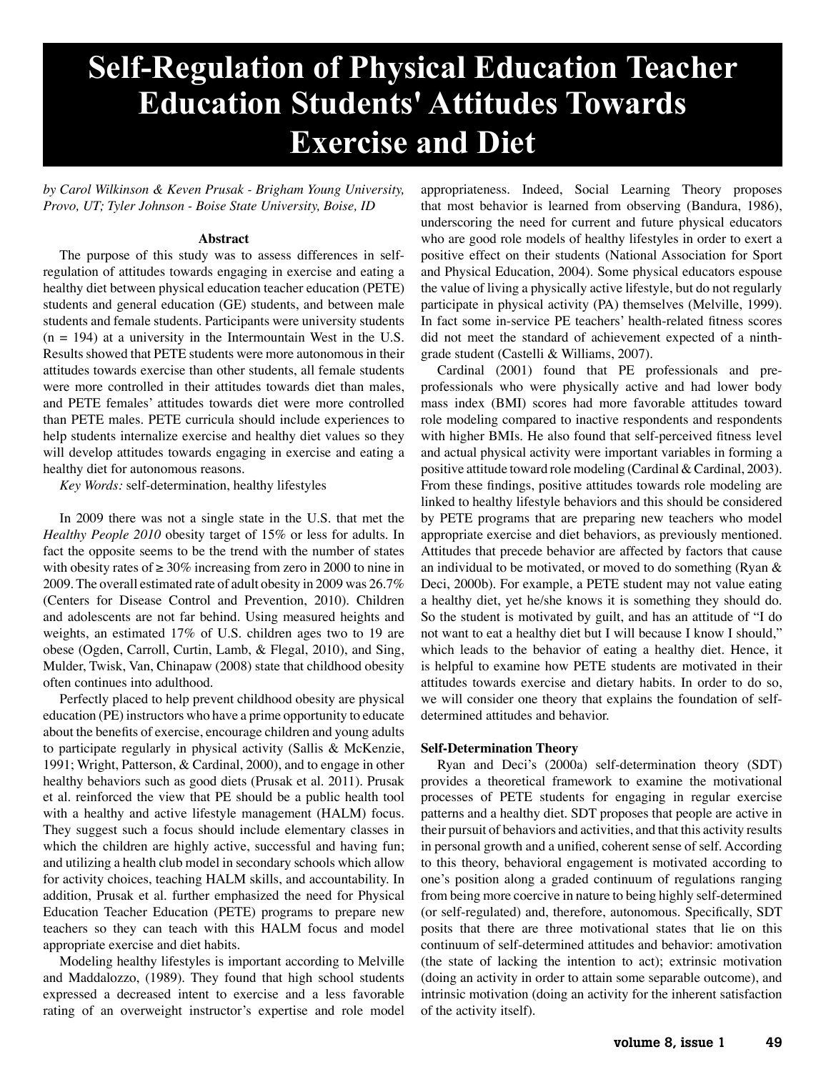# **Self-Regulation of Physical Education Teacher Education Students' Attitudes Towards Exercise and Diet**

*by Carol Wilkinson & Keven Prusak - Brigham Young University, Provo, UT; Tyler Johnson - Boise State University, Boise, ID* 

#### **Abstract**

The purpose of this study was to assess differences in selfregulation of attitudes towards engaging in exercise and eating a healthy diet between physical education teacher education (PETE) students and general education (GE) students, and between male students and female students. Participants were university students  $(n = 194)$  at a university in the Intermountain West in the U.S. Results showed that PETE students were more autonomous in their attitudes towards exercise than other students, all female students were more controlled in their attitudes towards diet than males, and PETE females' attitudes towards diet were more controlled than PETE males. PETE curricula should include experiences to help students internalize exercise and healthy diet values so they will develop attitudes towards engaging in exercise and eating a healthy diet for autonomous reasons.

*Key Words:* self-determination, healthy lifestyles

In 2009 there was not a single state in the U.S. that met the *Healthy People 2010* obesity target of 15% or less for adults. In fact the opposite seems to be the trend with the number of states with obesity rates of  $\geq 30\%$  increasing from zero in 2000 to nine in 2009. The overall estimated rate of adult obesity in 2009 was 26.7% (Centers for Disease Control and Prevention, 2010). Children and adolescents are not far behind. Using measured heights and weights, an estimated 17% of U.S. children ages two to 19 are obese (Ogden, Carroll, Curtin, Lamb, & Flegal, 2010), and Sing, Mulder, Twisk, Van, Chinapaw (2008) state that childhood obesity often continues into adulthood.

Perfectly placed to help prevent childhood obesity are physical education (PE) instructors who have a prime opportunity to educate about the benefits of exercise, encourage children and young adults to participate regularly in physical activity (Sallis & McKenzie, 1991; Wright, Patterson, & Cardinal, 2000), and to engage in other healthy behaviors such as good diets (Prusak et al. 2011). Prusak et al. reinforced the view that PE should be a public health tool with a healthy and active lifestyle management (HALM) focus. They suggest such a focus should include elementary classes in which the children are highly active, successful and having fun; and utilizing a health club model in secondary schools which allow for activity choices, teaching HALM skills, and accountability. In addition, Prusak et al. further emphasized the need for Physical Education Teacher Education (PETE) programs to prepare new teachers so they can teach with this HALM focus and model appropriate exercise and diet habits.

Modeling healthy lifestyles is important according to Melville and Maddalozzo, (1989). They found that high school students expressed a decreased intent to exercise and a less favorable rating of an overweight instructor's expertise and role model appropriateness. Indeed, Social Learning Theory proposes that most behavior is learned from observing (Bandura, 1986), underscoring the need for current and future physical educators who are good role models of healthy lifestyles in order to exert a positive effect on their students (National Association for Sport and Physical Education, 2004). Some physical educators espouse the value of living a physically active lifestyle, but do not regularly participate in physical activity (PA) themselves (Melville, 1999). In fact some in-service PE teachers' health-related fitness scores did not meet the standard of achievement expected of a ninthgrade student (Castelli & Williams, 2007).

Cardinal (2001) found that PE professionals and preprofessionals who were physically active and had lower body mass index (BMI) scores had more favorable attitudes toward role modeling compared to inactive respondents and respondents with higher BMIs. He also found that self-perceived fitness level and actual physical activity were important variables in forming a positive attitude toward role modeling (Cardinal & Cardinal, 2003). From these findings, positive attitudes towards role modeling are linked to healthy lifestyle behaviors and this should be considered by PETE programs that are preparing new teachers who model appropriate exercise and diet behaviors, as previously mentioned. Attitudes that precede behavior are affected by factors that cause an individual to be motivated, or moved to do something (Ryan & Deci, 2000b). For example, a PETE student may not value eating a healthy diet, yet he/she knows it is something they should do. So the student is motivated by guilt, and has an attitude of "I do not want to eat a healthy diet but I will because I know I should," which leads to the behavior of eating a healthy diet. Hence, it is helpful to examine how PETE students are motivated in their attitudes towards exercise and dietary habits. In order to do so, we will consider one theory that explains the foundation of selfdetermined attitudes and behavior.

#### **Self-Determination Theory**

Ryan and Deci's (2000a) self-determination theory (SDT) provides a theoretical framework to examine the motivational processes of PETE students for engaging in regular exercise patterns and a healthy diet. SDT proposes that people are active in their pursuit of behaviors and activities, and that this activity results in personal growth and a unified, coherent sense of self. According to this theory, behavioral engagement is motivated according to one's position along a graded continuum of regulations ranging from being more coercive in nature to being highly self-determined (or self-regulated) and, therefore, autonomous. Specifically, SDT posits that there are three motivational states that lie on this continuum of self-determined attitudes and behavior: amotivation (the state of lacking the intention to act); extrinsic motivation (doing an activity in order to attain some separable outcome), and intrinsic motivation (doing an activity for the inherent satisfaction of the activity itself).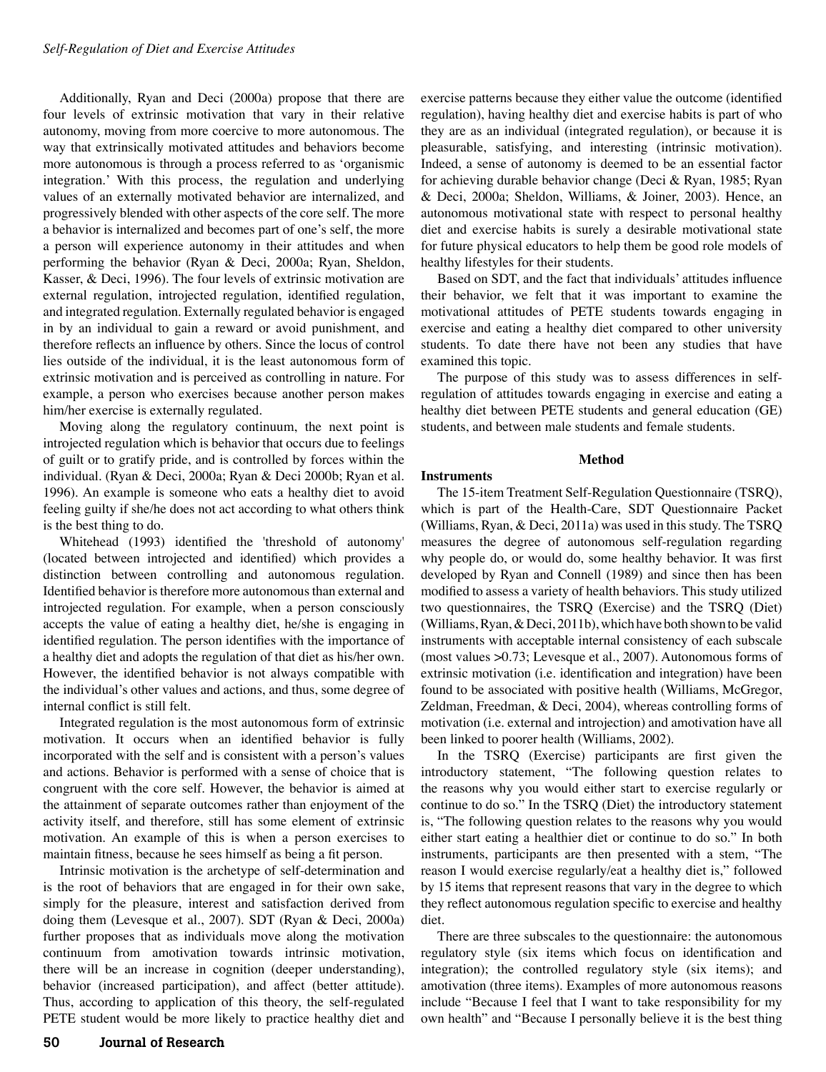Additionally, Ryan and Deci (2000a) propose that there are four levels of extrinsic motivation that vary in their relative autonomy, moving from more coercive to more autonomous. The way that extrinsically motivated attitudes and behaviors become more autonomous is through a process referred to as 'organismic integration.' With this process, the regulation and underlying values of an externally motivated behavior are internalized, and progressively blended with other aspects of the core self. The more a behavior is internalized and becomes part of one's self, the more a person will experience autonomy in their attitudes and when performing the behavior (Ryan & Deci, 2000a; Ryan, Sheldon, Kasser, & Deci, 1996). The four levels of extrinsic motivation are external regulation, introjected regulation, identified regulation, and integrated regulation. Externally regulated behavior is engaged in by an individual to gain a reward or avoid punishment, and therefore reflects an influence by others. Since the locus of control lies outside of the individual, it is the least autonomous form of extrinsic motivation and is perceived as controlling in nature. For example, a person who exercises because another person makes him/her exercise is externally regulated.

Moving along the regulatory continuum, the next point is introjected regulation which is behavior that occurs due to feelings of guilt or to gratify pride, and is controlled by forces within the individual. (Ryan & Deci, 2000a; Ryan & Deci 2000b; Ryan et al. 1996). An example is someone who eats a healthy diet to avoid feeling guilty if she/he does not act according to what others think is the best thing to do.

Whitehead (1993) identified the 'threshold of autonomy' (located between introjected and identified) which provides a distinction between controlling and autonomous regulation. Identified behavior is therefore more autonomous than external and introjected regulation. For example, when a person consciously accepts the value of eating a healthy diet, he/she is engaging in identified regulation. The person identifies with the importance of a healthy diet and adopts the regulation of that diet as his/her own. However, the identified behavior is not always compatible with the individual's other values and actions, and thus, some degree of internal conflict is still felt.

Integrated regulation is the most autonomous form of extrinsic motivation. It occurs when an identified behavior is fully incorporated with the self and is consistent with a person's values and actions. Behavior is performed with a sense of choice that is congruent with the core self. However, the behavior is aimed at the attainment of separate outcomes rather than enjoyment of the activity itself, and therefore, still has some element of extrinsic motivation. An example of this is when a person exercises to maintain fitness, because he sees himself as being a fit person.

Intrinsic motivation is the archetype of self-determination and is the root of behaviors that are engaged in for their own sake, simply for the pleasure, interest and satisfaction derived from doing them (Levesque et al., 2007). SDT (Ryan & Deci, 2000a) further proposes that as individuals move along the motivation continuum from amotivation towards intrinsic motivation, there will be an increase in cognition (deeper understanding), behavior (increased participation), and affect (better attitude). Thus, according to application of this theory, the self-regulated PETE student would be more likely to practice healthy diet and

exercise patterns because they either value the outcome (identified regulation), having healthy diet and exercise habits is part of who they are as an individual (integrated regulation), or because it is pleasurable, satisfying, and interesting (intrinsic motivation). Indeed, a sense of autonomy is deemed to be an essential factor for achieving durable behavior change (Deci & Ryan, 1985; Ryan & Deci, 2000a; Sheldon, Williams, & Joiner, 2003). Hence, an autonomous motivational state with respect to personal healthy diet and exercise habits is surely a desirable motivational state for future physical educators to help them be good role models of healthy lifestyles for their students.

Based on SDT, and the fact that individuals' attitudes influence their behavior, we felt that it was important to examine the motivational attitudes of PETE students towards engaging in exercise and eating a healthy diet compared to other university students. To date there have not been any studies that have examined this topic.

The purpose of this study was to assess differences in selfregulation of attitudes towards engaging in exercise and eating a healthy diet between PETE students and general education (GE) students, and between male students and female students.

### **Method**

#### **Instruments**

The 15-item Treatment Self-Regulation Questionnaire (TSRQ), which is part of the Health-Care, SDT Questionnaire Packet (Williams, Ryan, & Deci, 2011a) was used in this study. The TSRQ measures the degree of autonomous self-regulation regarding why people do, or would do, some healthy behavior. It was first developed by Ryan and Connell (1989) and since then has been modified to assess a variety of health behaviors. This study utilized two questionnaires, the TSRQ (Exercise) and the TSRQ (Diet) (Williams, Ryan, & Deci, 2011b), which have both shown to be valid instruments with acceptable internal consistency of each subscale (most values >0.73; Levesque et al., 2007). Autonomous forms of extrinsic motivation (i.e. identification and integration) have been found to be associated with positive health (Williams, McGregor, Zeldman, Freedman, & Deci, 2004), whereas controlling forms of motivation (i.e. external and introjection) and amotivation have all been linked to poorer health (Williams, 2002).

In the TSRQ (Exercise) participants are first given the introductory statement, "The following question relates to the reasons why you would either start to exercise regularly or continue to do so." In the TSRQ (Diet) the introductory statement is, "The following question relates to the reasons why you would either start eating a healthier diet or continue to do so." In both instruments, participants are then presented with a stem, "The reason I would exercise regularly/eat a healthy diet is," followed by 15 items that represent reasons that vary in the degree to which they reflect autonomous regulation specific to exercise and healthy diet.

There are three subscales to the questionnaire: the autonomous regulatory style (six items which focus on identification and integration); the controlled regulatory style (six items); and amotivation (three items). Examples of more autonomous reasons include "Because I feel that I want to take responsibility for my own health" and "Because I personally believe it is the best thing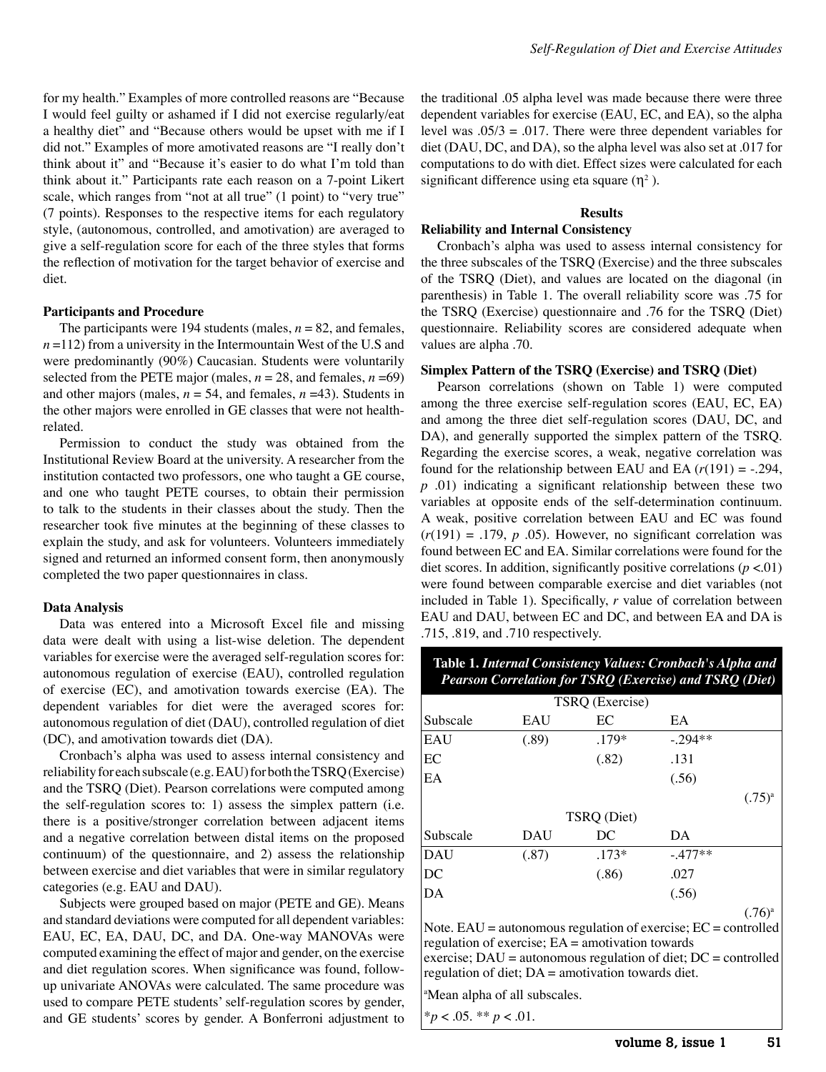for my health." Examples of more controlled reasons are "Because I would feel guilty or ashamed if I did not exercise regularly/eat a healthy diet" and "Because others would be upset with me if I did not." Examples of more amotivated reasons are "I really don't think about it" and "Because it's easier to do what I'm told than think about it." Participants rate each reason on a 7-point Likert scale, which ranges from "not at all true" (1 point) to "very true" (7 points). Responses to the respective items for each regulatory style, (autonomous, controlled, and amotivation) are averaged to give a self-regulation score for each of the three styles that forms the reflection of motivation for the target behavior of exercise and diet.

#### **Participants and Procedure**

The participants were 194 students (males,  $n = 82$ , and females,  $n = 112$ ) from a university in the Intermountain West of the U.S and were predominantly (90%) Caucasian. Students were voluntarily selected from the PETE major (males,  $n = 28$ , and females,  $n = 69$ ) and other majors (males,  $n = 54$ , and females,  $n = 43$ ). Students in the other majors were enrolled in GE classes that were not healthrelated.

Permission to conduct the study was obtained from the Institutional Review Board at the university. A researcher from the institution contacted two professors, one who taught a GE course, and one who taught PETE courses, to obtain their permission to talk to the students in their classes about the study. Then the researcher took five minutes at the beginning of these classes to explain the study, and ask for volunteers. Volunteers immediately signed and returned an informed consent form, then anonymously completed the two paper questionnaires in class.

#### **Data Analysis**

Data was entered into a Microsoft Excel file and missing data were dealt with using a list-wise deletion. The dependent variables for exercise were the averaged self-regulation scores for: autonomous regulation of exercise (EAU), controlled regulation of exercise (EC), and amotivation towards exercise (EA). The dependent variables for diet were the averaged scores for: autonomous regulation of diet (DAU), controlled regulation of diet (DC), and amotivation towards diet (DA).

Cronbach's alpha was used to assess internal consistency and reliability for each subscale (e.g. EAU) for both the TSRQ (Exercise) and the TSRQ (Diet). Pearson correlations were computed among the self-regulation scores to: 1) assess the simplex pattern (i.e. there is a positive/stronger correlation between adjacent items and a negative correlation between distal items on the proposed continuum) of the questionnaire, and 2) assess the relationship between exercise and diet variables that were in similar regulatory categories (e.g. EAU and DAU).

Subjects were grouped based on major (PETE and GE). Means and standard deviations were computed for all dependent variables: EAU, EC, EA, DAU, DC, and DA. One-way MANOVAs were computed examining the effect of major and gender, on the exercise and diet regulation scores. When significance was found, followup univariate ANOVAs were calculated. The same procedure was used to compare PETE students' self-regulation scores by gender, and GE students' scores by gender. A Bonferroni adjustment to

the traditional .05 alpha level was made because there were three dependent variables for exercise (EAU, EC, and EA), so the alpha level was  $.05/3 = .017$ . There were three dependent variables for diet (DAU, DC, and DA), so the alpha level was also set at .017 for computations to do with diet. Effect sizes were calculated for each significant difference using eta square  $(\eta^2)$ .

#### **Results**

## **Reliability and Internal Consistency**

Cronbach's alpha was used to assess internal consistency for the three subscales of the TSRQ (Exercise) and the three subscales of the TSRQ (Diet), and values are located on the diagonal (in parenthesis) in Table 1. The overall reliability score was .75 for the TSRQ (Exercise) questionnaire and .76 for the TSRQ (Diet) questionnaire. Reliability scores are considered adequate when values are alpha .70.

#### **Simplex Pattern of the TSRQ (Exercise) and TSRQ (Diet)**

Pearson correlations (shown on Table 1) were computed among the three exercise self-regulation scores (EAU, EC, EA) and among the three diet self-regulation scores (DAU, DC, and DA), and generally supported the simplex pattern of the TSRQ. Regarding the exercise scores, a weak, negative correlation was found for the relationship between EAU and EA  $(r(191) = -.294, )$ *p* .01) indicating a significant relationship between these two variables at opposite ends of the self-determination continuum. A weak, positive correlation between EAU and EC was found  $(r(191) = .179, p.05)$ . However, no significant correlation was found between EC and EA. Similar correlations were found for the diet scores. In addition, significantly positive correlations  $(p < 01)$ were found between comparable exercise and diet variables (not included in Table 1). Specifically, *r* value of correlation between EAU and DAU, between EC and DC, and between EA and DA is .715, .819, and .710 respectively.

## **Table 1.** *Internal Consistency Values: Cronbach's Alpha and Pearson Correlation for TSRQ (Exercise) and TSRQ (Diet)*

| TSRQ (Exercise) |       |         |           |             |  |  |  |  |
|-----------------|-------|---------|-----------|-------------|--|--|--|--|
| Subscale        | EAU   | EC      | EA        |             |  |  |  |  |
| EAU             | (.89) | .179*   | $-.294**$ |             |  |  |  |  |
| EC              |       | (.82)   | .131      |             |  |  |  |  |
| EA              |       |         | (.56)     |             |  |  |  |  |
|                 |       |         |           | $(.75)^{a}$ |  |  |  |  |
| TSRQ (Diet)     |       |         |           |             |  |  |  |  |
| Subscale        | DAU   | DC      | DA        |             |  |  |  |  |
| <b>DAU</b>      | (.87) | $.173*$ | $-.477**$ |             |  |  |  |  |
| DC              |       | (.86)   | .027      |             |  |  |  |  |
| DA              |       |         | (.56)     |             |  |  |  |  |
|                 |       |         |           | $(.76)^{a}$ |  |  |  |  |

Note.  $EAU =$  autonomous regulation of exercise;  $EC =$  controlled regulation of exercise;  $EA =$  amotivation towards exercise;  $DAU =$  autonomous regulation of diet;  $DC =$  controlled regulation of diet; DA = amotivation towards diet.

a Mean alpha of all subscales.

\**p* < .05. \*\* *p* < .01.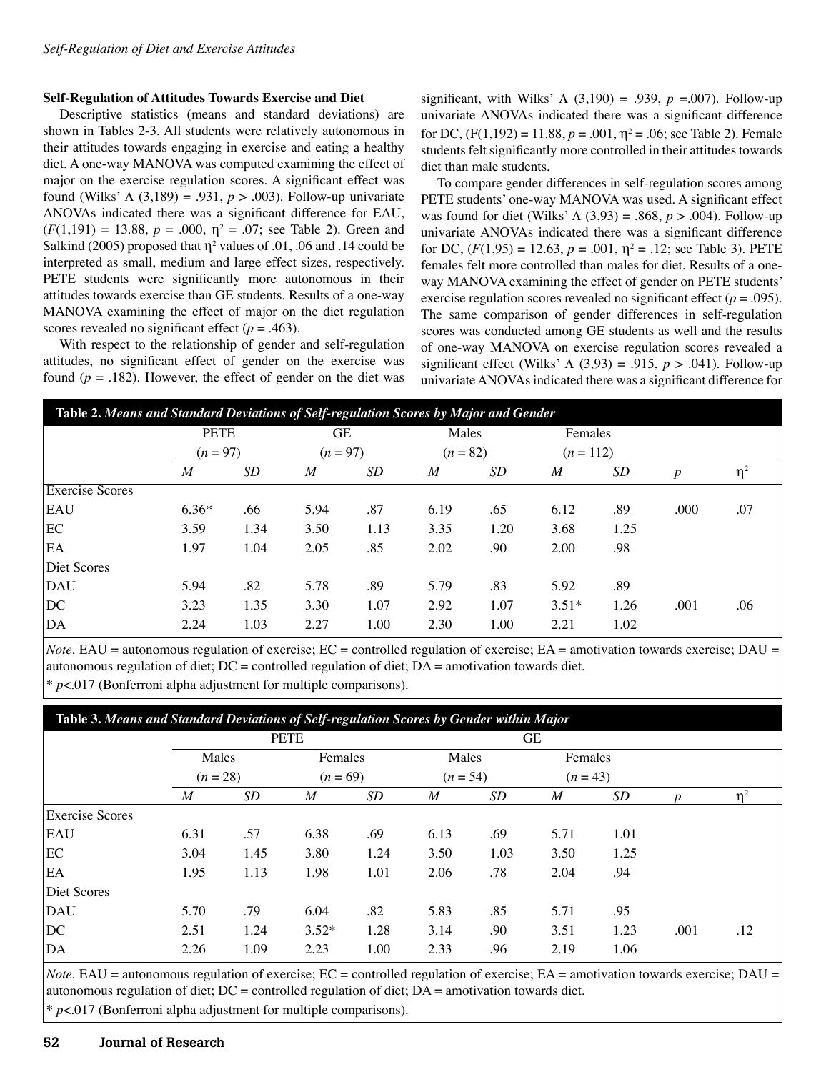## **Self-Regulation of Attitudes Towards Exercise and Diet**

Descriptive statistics (means and standard deviations) are shown in Tables 2-3. All students were relatively autonomous in their attitudes towards engaging in exercise and eating a healthy diet. A one-way MANOVA was computed examining the effect of major on the exercise regulation scores. A significant effect was found (Wilks' Λ (3,189) = .931, *p* > .003). Follow-up univariate ANOVAs indicated there was a significant difference for EAU,  $(F(1,191) = 13.88, p = .000, \eta^2 = .07$ ; see Table 2). Green and Salkind (2005) proposed that  $\eta^2$  values of .01, .06 and .14 could be interpreted as small, medium and large effect sizes, respectively. PETE students were significantly more autonomous in their attitudes towards exercise than GE students. Results of a one-way MANOVA examining the effect of major on the diet regulation scores revealed no significant effect  $(p = .463)$ .

With respect to the relationship of gender and self-regulation attitudes, no significant effect of gender on the exercise was found  $(p = .182)$ . However, the effect of gender on the diet was

significant, with Wilks'  $\Lambda$  (3,190) = .939,  $p = .007$ ). Follow-up univariate ANOVAs indicated there was a significant difference for DC,  $(F(1, 192) = 11.88, p = .001, \eta^2 = .06$ ; see Table 2). Female students felt significantly more controlled in their attitudes towards diet than male students.

To compare gender differences in self-regulation scores among PETE students' one-way MANOVA was used. A significant effect was found for diet (Wilks' Λ (3,93) = .868, *p* > .004). Follow-up univariate ANOVAs indicated there was a significant difference for DC,  $(F(1, 95) = 12.63, p = .001, \eta^2 = .12$ ; see Table 3). PETE females felt more controlled than males for diet. Results of a oneway MANOVA examining the effect of gender on PETE students' exercise regulation scores revealed no significant effect ( $p = .095$ ). The same comparison of gender differences in self-regulation scores was conducted among GE students as well and the results of one-way MANOVA on exercise regulation scores revealed a significant effect (Wilks' Λ (3,93) = .915, *p* > .041). Follow-up univariate ANOVAs indicated there was a significant difference for

| Table 2. Means and Standard Deviations of Self-regulation Scores by Major and Gender |             |      |          |      |            |      |             |      |                  |          |
|--------------------------------------------------------------------------------------|-------------|------|----------|------|------------|------|-------------|------|------------------|----------|
|                                                                                      | <b>PETE</b> |      | GЕ       |      | Males      |      | Females     |      |                  |          |
|                                                                                      | $(n = 97)$  |      | $(n=97)$ |      | $(n = 82)$ |      | $(n = 112)$ |      |                  |          |
|                                                                                      | M           | SD   | M        | SD   | M          | SD   | M           | SD   | $\boldsymbol{p}$ | $\eta^2$ |
| <b>Exercise Scores</b>                                                               |             |      |          |      |            |      |             |      |                  |          |
| <b>EAU</b>                                                                           | $6.36*$     | .66  | 5.94     | .87  | 6.19       | .65  | 6.12        | .89  | .000             | .07      |
| EC                                                                                   | 3.59        | 1.34 | 3.50     | 1.13 | 3.35       | 1.20 | 3.68        | 1.25 |                  |          |
| EA                                                                                   | 1.97        | 1.04 | 2.05     | .85  | 2.02       | .90  | 2.00        | .98  |                  |          |
| Diet Scores                                                                          |             |      |          |      |            |      |             |      |                  |          |
| DAU                                                                                  | 5.94        | .82  | 5.78     | .89  | 5.79       | .83  | 5.92        | .89  |                  |          |
| DC                                                                                   | 3.23        | 1.35 | 3.30     | 1.07 | 2.92       | 1.07 | $3.51*$     | 1.26 | .001             | .06      |
| DA                                                                                   | 2.24        | 1.03 | 2.27     | 1.00 | 2.30       | 1.00 | 2.21        | 1.02 |                  |          |

*Note*. EAU = autonomous regulation of exercise; EC = controlled regulation of exercise; EA = amotivation towards exercise; DAU = autonomous regulation of diet;  $DC =$  controlled regulation of diet;  $DA =$  amotivation towards diet.

\* *p*<.017 (Bonferroni alpha adjustment for multiple comparisons).

# **Table 3.** *Means and Standard Deviations of Self-regulation Scores by Gender within Major*

|                        | <b>PETE</b>         |      |                       |      |                     | <b>GE</b> |                       |      |                  |       |  |
|------------------------|---------------------|------|-----------------------|------|---------------------|-----------|-----------------------|------|------------------|-------|--|
|                        | Males<br>$(n = 28)$ |      | Females<br>$(n = 69)$ |      | Males<br>$(n = 54)$ |           | Females<br>$(n = 43)$ |      |                  |       |  |
|                        |                     |      |                       |      |                     |           |                       |      |                  |       |  |
|                        | $\boldsymbol{M}$    | SD   | M                     | SD   | $\boldsymbol{M}$    | SD        | $\boldsymbol{M}$      | SD   | $\boldsymbol{p}$ | $n^2$ |  |
| <b>Exercise Scores</b> |                     |      |                       |      |                     |           |                       |      |                  |       |  |
| <b>EAU</b>             | 6.31                | .57  | 6.38                  | .69  | 6.13                | .69       | 5.71                  | 1.01 |                  |       |  |
| EC                     | 3.04                | 1.45 | 3.80                  | 1.24 | 3.50                | 1.03      | 3.50                  | 1.25 |                  |       |  |
| EA                     | 1.95                | 1.13 | 1.98                  | 1.01 | 2.06                | .78       | 2.04                  | .94  |                  |       |  |
| Diet Scores            |                     |      |                       |      |                     |           |                       |      |                  |       |  |
| <b>DAU</b>             | 5.70                | .79  | 6.04                  | .82  | 5.83                | .85       | 5.71                  | .95  |                  |       |  |
| DC                     | 2.51                | 1.24 | $3.52*$               | 1.28 | 3.14                | .90       | 3.51                  | 1.23 | .001             | .12   |  |
| DA                     | 2.26                | 1.09 | 2.23                  | 1.00 | 2.33                | .96       | 2.19                  | 1.06 |                  |       |  |

*Note.* EAU = autonomous regulation of exercise; EC = controlled regulation of exercise; EA = amotivation towards exercise; DAU = autonomous regulation of diet; DC = controlled regulation of diet; DA = amotivation towards diet. \* *p*<.017 (Bonferroni alpha adjustment for multiple comparisons).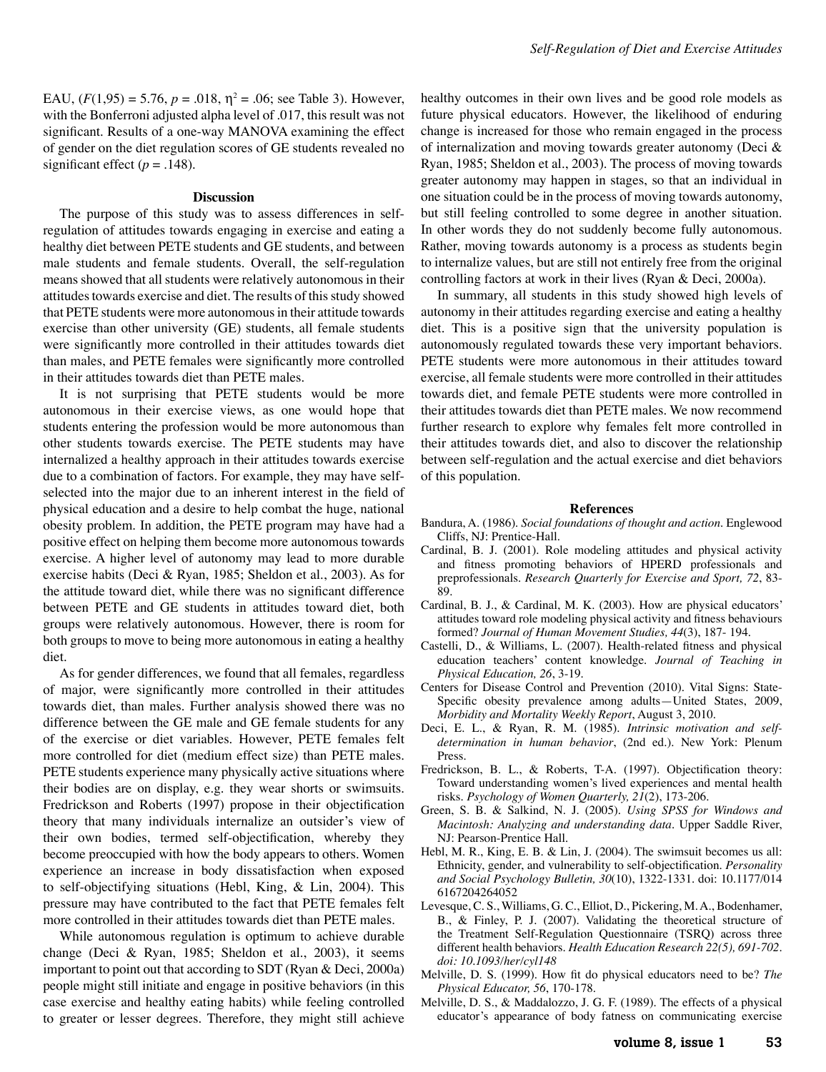EAU,  $(F(1, 95) = 5.76, p = .018, \eta^2 = .06$ ; see Table 3). However, with the Bonferroni adjusted alpha level of .017, this result was not significant. Results of a one-way MANOVA examining the effect of gender on the diet regulation scores of GE students revealed no significant effect  $(p = .148)$ .

#### **Discussion**

The purpose of this study was to assess differences in selfregulation of attitudes towards engaging in exercise and eating a healthy diet between PETE students and GE students, and between male students and female students. Overall, the self-regulation means showed that all students were relatively autonomous in their attitudes towards exercise and diet. The results of this study showed that PETE students were more autonomous in their attitude towards exercise than other university (GE) students, all female students were significantly more controlled in their attitudes towards diet than males, and PETE females were significantly more controlled in their attitudes towards diet than PETE males.

It is not surprising that PETE students would be more autonomous in their exercise views, as one would hope that students entering the profession would be more autonomous than other students towards exercise. The PETE students may have internalized a healthy approach in their attitudes towards exercise due to a combination of factors. For example, they may have selfselected into the major due to an inherent interest in the field of physical education and a desire to help combat the huge, national obesity problem. In addition, the PETE program may have had a positive effect on helping them become more autonomous towards exercise. A higher level of autonomy may lead to more durable exercise habits (Deci & Ryan, 1985; Sheldon et al., 2003). As for the attitude toward diet, while there was no significant difference between PETE and GE students in attitudes toward diet, both groups were relatively autonomous. However, there is room for both groups to move to being more autonomous in eating a healthy diet.

As for gender differences, we found that all females, regardless of major, were significantly more controlled in their attitudes towards diet, than males. Further analysis showed there was no difference between the GE male and GE female students for any of the exercise or diet variables. However, PETE females felt more controlled for diet (medium effect size) than PETE males. PETE students experience many physically active situations where their bodies are on display, e.g. they wear shorts or swimsuits. Fredrickson and Roberts (1997) propose in their objectification theory that many individuals internalize an outsider's view of their own bodies, termed self-objectification, whereby they become preoccupied with how the body appears to others. Women experience an increase in body dissatisfaction when exposed to self-objectifying situations (Hebl, King, & Lin, 2004). This pressure may have contributed to the fact that PETE females felt more controlled in their attitudes towards diet than PETE males.

While autonomous regulation is optimum to achieve durable change (Deci & Ryan, 1985; Sheldon et al., 2003), it seems important to point out that according to SDT (Ryan & Deci, 2000a) people might still initiate and engage in positive behaviors (in this case exercise and healthy eating habits) while feeling controlled to greater or lesser degrees. Therefore, they might still achieve

healthy outcomes in their own lives and be good role models as future physical educators. However, the likelihood of enduring change is increased for those who remain engaged in the process of internalization and moving towards greater autonomy (Deci & Ryan, 1985; Sheldon et al., 2003). The process of moving towards greater autonomy may happen in stages, so that an individual in one situation could be in the process of moving towards autonomy, but still feeling controlled to some degree in another situation. In other words they do not suddenly become fully autonomous. Rather, moving towards autonomy is a process as students begin to internalize values, but are still not entirely free from the original controlling factors at work in their lives (Ryan & Deci, 2000a).

In summary, all students in this study showed high levels of autonomy in their attitudes regarding exercise and eating a healthy diet. This is a positive sign that the university population is autonomously regulated towards these very important behaviors. PETE students were more autonomous in their attitudes toward exercise, all female students were more controlled in their attitudes towards diet, and female PETE students were more controlled in their attitudes towards diet than PETE males. We now recommend further research to explore why females felt more controlled in their attitudes towards diet, and also to discover the relationship between self-regulation and the actual exercise and diet behaviors of this population.

#### **References**

- Bandura, A. (1986). *Social foundations of thought and action*. Englewood Cliffs, NJ: Prentice-Hall.
- Cardinal, B. J. (2001). Role modeling attitudes and physical activity and fitness promoting behaviors of HPERD professionals and preprofessionals. *Research Quarterly for Exercise and Sport, 72*, 83- 89.
- Cardinal, B. J., & Cardinal, M. K. (2003). How are physical educators' attitudes toward role modeling physical activity and fitness behaviours formed? *Journal of Human Movement Studies, 44*(3), 187- 194.
- Castelli, D., & Williams, L. (2007). Health-related fitness and physical education teachers' content knowledge. *Journal of Teaching in Physical Education, 26*, 3-19.
- Centers for Disease Control and Prevention (2010). Vital Signs: State-Specific obesity prevalence among adults—United States, 2009, *Morbidity and Mortality Weekly Report*, August 3, 2010.
- Deci, E. L., & Ryan, R. M. (1985). *Intrinsic motivation and selfdetermination in human behavior*, (2nd ed.). New York: Plenum Press.
- Fredrickson, B. L., & Roberts, T-A. (1997). Objectification theory: Toward understanding women's lived experiences and mental health risks. *Psychology of Women Quarterly, 21*(2), 173-206.
- Green, S. B. & Salkind, N. J. (2005). *Using SPSS for Windows and Macintosh: Analyzing and understanding data*. Upper Saddle River, NJ: Pearson-Prentice Hall.
- Hebl, M. R., King, E. B. & Lin, J. (2004). The swimsuit becomes us all: Ethnicity, gender, and vulnerability to self-objectification. *Personality and Social Psychology Bulletin, 30*(10), 1322-1331. doi: 10.1177/014 6167204264052
- Levesque, C. S., Williams, G. C., Elliot, D., Pickering, M. A., Bodenhamer, B., & Finley, P. J. (2007). Validating the theoretical structure of the Treatment Self-Regulation Questionnaire (TSRQ) across three different health behaviors. *Health Education Research 22(5), 691-702. doi: 10.1093/her/cyl148*
- Melville, D. S. (1999). How fit do physical educators need to be? *The Physical Educator, 56*, 170-178.
- Melville, D. S., & Maddalozzo, J. G. F. (1989). The effects of a physical educator's appearance of body fatness on communicating exercise